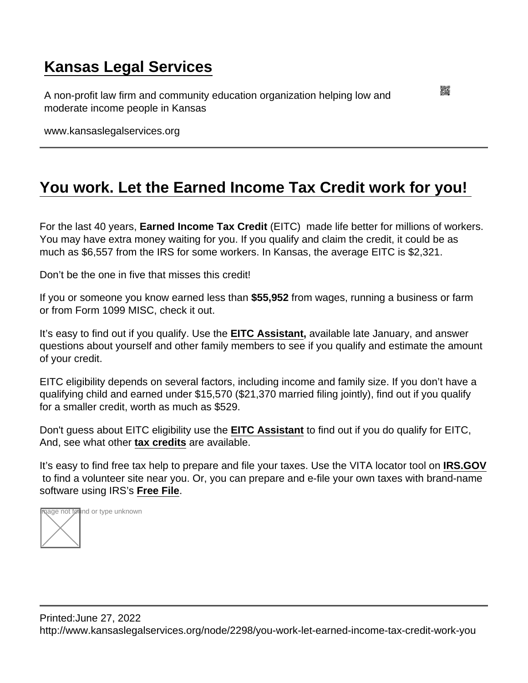## [Kansas Legal Services](https://www.kansaslegalservices.org/)

A non-profit law firm and community education organization helping low and moderate income people in Kansas

www.kansaslegalservices.org

## [You work. Let the Earned Income Tax Credit work for you!](https://www.kansaslegalservices.org/node/2298/you-work-let-earned-income-tax-credit-work-you)

For the last 40 years, Earned Income Tax Credit (EITC) made life better for millions of workers. You may have extra money waiting for you. If you qualify and claim the credit, it could be as much as \$6,557 from the IRS for some workers. In Kansas, the average EITC is \$2,321.

Don't be the one in five that misses this credit!

If you or someone you know earned less than \$55,952 from wages, running a business or farm or from Form 1099 MISC, check it out.

It's easy to find out if you qualify. Use the [EITC Assistant](https://www.irs.gov/credits-deductions/individuals/earned-income-tax-credit/use-the-eitc-assistant) , available late January, and answer questions about yourself and other family members to see if you qualify and estimate the amount of your credit.

EITC eligibility depends on several factors, including income and family size. If you don't have a qualifying child and earned under \$15,570 (\$21,370 married filing jointly), find out if you qualify for a smaller credit, worth as much as \$529.

Don't guess about EITC eligibility use the [EITC Assistant](https://www.irs.gov/credits-deductions/individuals/earned-income-tax-credit/use-the-eitc-assistant) to find out if you do qualify for EITC, And, see what other [tax credits](https://www.irs.gov/credits-deductions/individuals) are available.

It's easy to find free tax help to prepare and file your taxes. Use the VITA locator tool on [IRS.GOV](https://www.irs.gov/) to find a volunteer site near you. Or, you can prepare and e-file your own taxes with brand-name software using IRS's [Free File](https://www.irs.gov/filing/free-file-do-your-federal-taxes-for-free) .